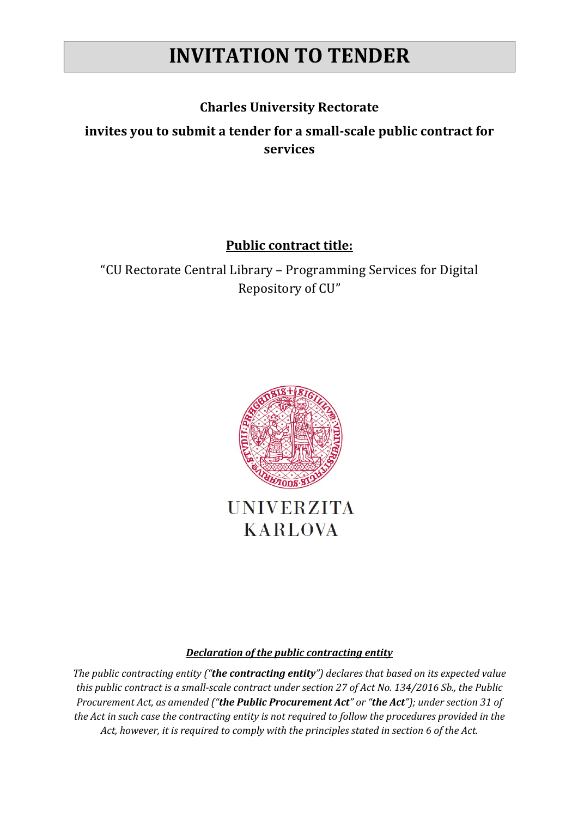# **INVITATION TO TENDER**

# **Charles University Rectorate**

invites you to submit a tender for a small-scale public contract for **services**

# **Public contract title:**

"CU Rectorate Central Library – Programming Services for Digital Repository of CU"



# *Declaration of the public contracting entity*

*The public contracting entity* ("**the contracting entity**") declares that based on its expected value *this public contract is a small-scale contract under section 27 of Act No. 134/2016 Sb., the Public Procurement Act, as amended* ("*the Public Procurement Act" or "the Act"*); *under section 31 of* the Act in such case the contracting entity is not required to follow the procedures provided in the Act, however, it is required to comply with the principles stated in section 6 of the Act.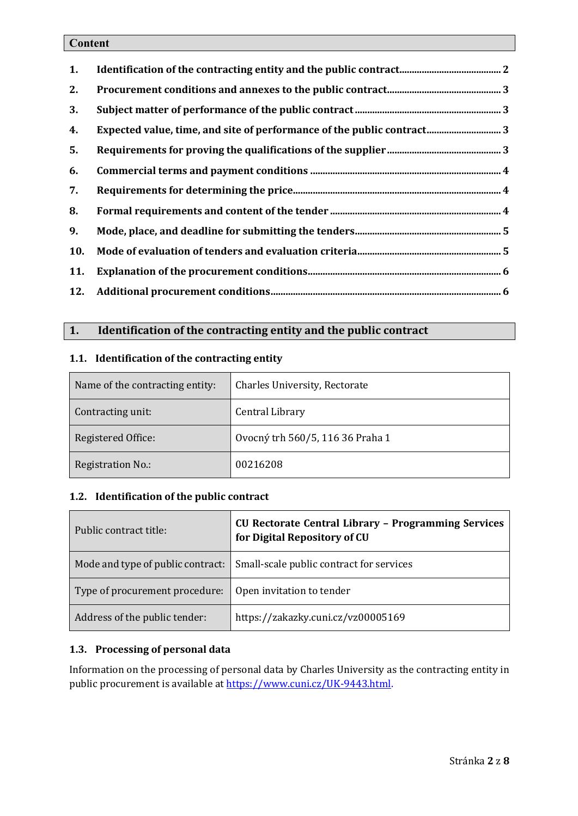#### **Content**

| 1.  |  |
|-----|--|
| 2.  |  |
| 3.  |  |
| 4.  |  |
| 5.  |  |
| 6.  |  |
| 7.  |  |
| 8.  |  |
| 9.  |  |
| 10. |  |
| 11. |  |
|     |  |

# **1.** Identification of the contracting entity and the public contract

#### **1.1.** Identification of the contracting entity

| Name of the contracting entity: | Charles University, Rectorate    |
|---------------------------------|----------------------------------|
| Contracting unit:               | Central Library                  |
| Registered Office:              | Ovocný trh 560/5, 116 36 Praha 1 |
| <b>Registration No.:</b>        | 00216208                         |

# **1.2.** Identification of the public contract

| Public contract title:            | <b>CU Rectorate Central Library - Programming Services</b><br>for Digital Repository of CU |
|-----------------------------------|--------------------------------------------------------------------------------------------|
| Mode and type of public contract: | Small-scale public contract for services                                                   |
| Type of procurement procedure:    | Open invitation to tender                                                                  |
| Address of the public tender:     | https://zakazky.cuni.cz/vz00005169                                                         |

# 1.3. Processing of personal data

Information on the processing of personal data by Charles University as the contracting entity in public procurement is available at https://www.cuni.cz/UK-9443.html.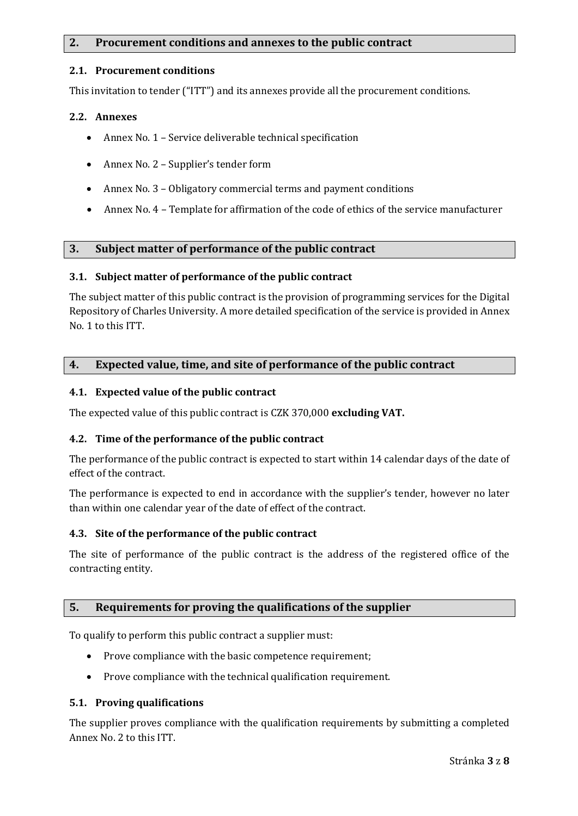# **2.** Procurement conditions and annexes to the public contract

# **2.1.** Procurement conditions

This invitation to tender ("ITT") and its annexes provide all the procurement conditions.

#### **2.2. Annexes**

- Annex No. 1 Service deliverable technical specification
- Annex No. 2 Supplier's tender form
- Annex No. 3 Obligatory commercial terms and payment conditions
- Annex No.  $4$  Template for affirmation of the code of ethics of the service manufacturer

# **3.** Subject matter of performance of the public contract

#### **3.1.** Subject matter of performance of the public contract

The subject matter of this public contract is the provision of programming services for the Digital Repository of Charles University. A more detailed specification of the service is provided in Annex No. 1 to this ITT.

# **4. Expected value, time, and site of performance of the public contract**

#### **4.1.** Expected value of the public contract

The expected value of this public contract is CZK 370,000 excluding VAT.

# **4.2.** Time of the performance of the public contract

The performance of the public contract is expected to start within 14 calendar days of the date of effect of the contract.

The performance is expected to end in accordance with the supplier's tender, however no later than within one calendar year of the date of effect of the contract.

# **4.3.** Site of the performance of the public contract

The site of performance of the public contract is the address of the registered office of the contracting entity.

# **5.** Requirements for proving the qualifications of the supplier

To qualify to perform this public contract a supplier must:

- Prove compliance with the basic competence requirement;
- Prove compliance with the technical qualification requirement.

# **5.1.** Proving qualifications

The supplier proves compliance with the qualification requirements by submitting a completed Annex No. 2 to this ITT.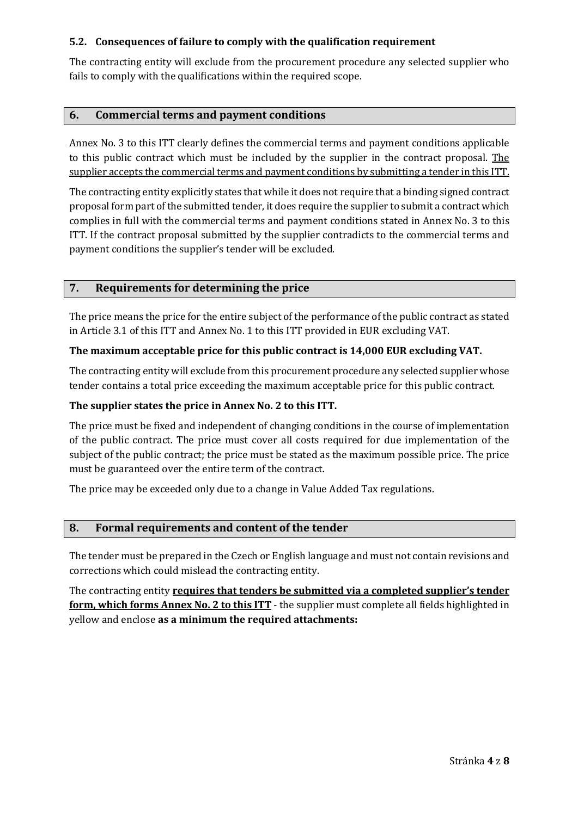# **5.2.** Consequences of failure to comply with the qualification requirement

The contracting entity will exclude from the procurement procedure any selected supplier who fails to comply with the qualifications within the required scope.

# **6. Commercial terms and payment conditions**

Annex No. 3 to this ITT clearly defines the commercial terms and payment conditions applicable to this public contract which must be included by the supplier in the contract proposal. The supplier accepts the commercial terms and payment conditions by submitting a tender in this ITT.

The contracting entity explicitly states that while it does not require that a binding signed contract proposal form part of the submitted tender, it does require the supplier to submit a contract which complies in full with the commercial terms and payment conditions stated in Annex No. 3 to this ITT. If the contract proposal submitted by the supplier contradicts to the commercial terms and payment conditions the supplier's tender will be excluded.

# **7.** Requirements for determining the price

The price means the price for the entire subject of the performance of the public contract as stated in Article 3.1 of this ITT and Annex No. 1 to this ITT provided in EUR excluding VAT.

# The maximum acceptable price for this public contract is 14,000 EUR excluding VAT.

The contracting entity will exclude from this procurement procedure any selected supplier whose tender contains a total price exceeding the maximum acceptable price for this public contract.

# The supplier states the price in Annex No. 2 to this ITT.

The price must be fixed and independent of changing conditions in the course of implementation of the public contract. The price must cover all costs required for due implementation of the subject of the public contract; the price must be stated as the maximum possible price. The price must be guaranteed over the entire term of the contract.

The price may be exceeded only due to a change in Value Added Tax regulations.

# **8.** Formal requirements and content of the tender

The tender must be prepared in the Czech or English language and must not contain revisions and corrections which could mislead the contracting entity.

The contracting entity **requires that tenders be submitted via a completed supplier's tender form, which forms Annex No. 2 to this ITT** - the supplier must complete all fields highlighted in yellow and enclose as a minimum the required attachments: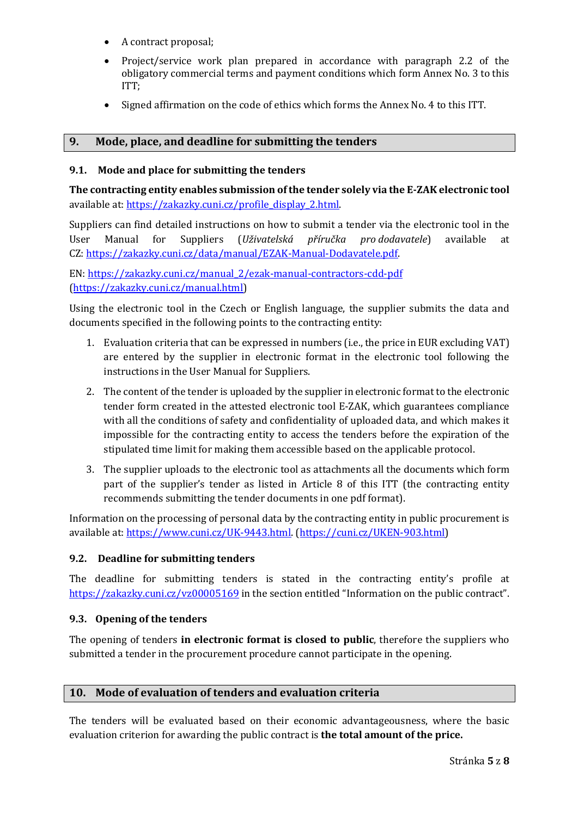- A contract proposal;
- Project/service work plan prepared in accordance with paragraph 2.2 of the obligatory commercial terms and payment conditions which form Annex No. 3 to this ITT;
- Signed affirmation on the code of ethics which forms the Annex No. 4 to this ITT.

# **9. Mode, place, and deadline for submitting the tenders**

#### 9.1. Mode and place for submitting the tenders

The contracting entity enables submission of the tender solely via the E-ZAK electronic tool available at: https://zakazky.cuni.cz/profile\_display\_2.html.

Suppliers can find detailed instructions on how to submit a tender via the electronic tool in the User Manual for Suppliers (*Uživatelská příručka pro dodavatele*) available at CZ: https://zakazky.cuni.cz/data/manual/EZAK-Manual-Dodavatele.pdf.

EN: https://zakazky.cuni.cz/manual\_2/ezak-manual-contractors-cdd-pdf (https://zakazky.cuni.cz/manual.html)

Using the electronic tool in the Czech or English language, the supplier submits the data and documents specified in the following points to the contracting entity:

- 1. Evaluation criteria that can be expressed in numbers (i.e., the price in EUR excluding VAT) are entered by the supplier in electronic format in the electronic tool following the instructions in the User Manual for Suppliers.
- 2. The content of the tender is uploaded by the supplier in electronic format to the electronic tender form created in the attested electronic tool E-ZAK, which guarantees compliance with all the conditions of safety and confidentiality of uploaded data, and which makes it impossible for the contracting entity to access the tenders before the expiration of the stipulated time limit for making them accessible based on the applicable protocol.
- 3. The supplier uploads to the electronic tool as attachments all the documents which form part of the supplier's tender as listed in Article 8 of this ITT (the contracting entity recommends submitting the tender documents in one pdf format).

Information on the processing of personal data by the contracting entity in public procurement is available at: https://www.cuni.cz/UK-9443.html. (https://cuni.cz/UKEN-903.html)

# **9.2.** Deadline for submitting tenders

The deadline for submitting tenders is stated in the contracting entity's profile at https://zakazky.cuni.cz/vz00005169 in the section entitled "Information on the public contract".

#### **9.3.** Opening of the tenders

The opening of tenders **in electronic format is closed to public**, therefore the suppliers who submitted a tender in the procurement procedure cannot participate in the opening.

# 10. Mode of evaluation of tenders and evaluation criteria

The tenders will be evaluated based on their economic advantageousness, where the basic evaluation criterion for awarding the public contract is **the total amount of the price.**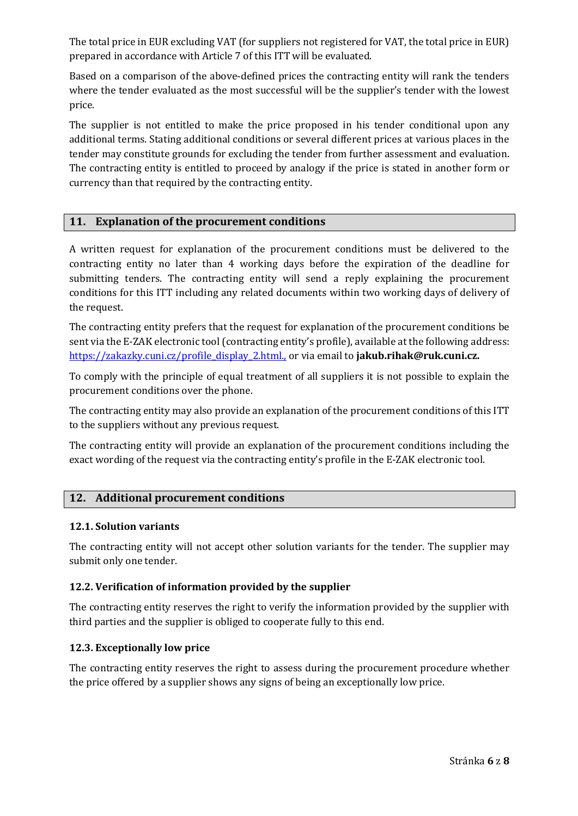The total price in EUR excluding VAT (for suppliers not registered for VAT, the total price in EUR) prepared in accordance with Article 7 of this ITT will be evaluated.

Based on a comparison of the above-defined prices the contracting entity will rank the tenders where the tender evaluated as the most successful will be the supplier's tender with the lowest price.

The supplier is not entitled to make the price proposed in his tender conditional upon any additional terms. Stating additional conditions or several different prices at various places in the tender may constitute grounds for excluding the tender from further assessment and evaluation. The contracting entity is entitled to proceed by analogy if the price is stated in another form or currency than that required by the contracting entity.

# 11. **Explanation of the procurement conditions**

A written request for explanation of the procurement conditions must be delivered to the contracting entity no later than 4 working days before the expiration of the deadline for submitting tenders. The contracting entity will send a reply explaining the procurement conditions for this ITT including any related documents within two working days of delivery of the request.

The contracting entity prefers that the request for explanation of the procurement conditions be sent via the E-ZAK electronic tool (contracting entity's profile), available at the following address: https://zakazky.cuni.cz/profile\_display\_2.html., or via email to jakub.rihak@ruk.cuni.cz.

To comply with the principle of equal treatment of all suppliers it is not possible to explain the procurement conditions over the phone.

The contracting entity may also provide an explanation of the procurement conditions of this ITT to the suppliers without any previous request.

The contracting entity will provide an explanation of the procurement conditions including the exact wording of the request via the contracting entity's profile in the E-ZAK electronic tool.

# 12. Additional procurement conditions

# **12.1. Solution variants**

The contracting entity will not accept other solution variants for the tender. The supplier may submit only one tender.

# **12.2.** Verification of information provided by the supplier

The contracting entity reserves the right to verify the information provided by the supplier with third parties and the supplier is obliged to cooperate fully to this end.

# **12.3. Exceptionally low price**

The contracting entity reserves the right to assess during the procurement procedure whether the price offered by a supplier shows any signs of being an exceptionally low price.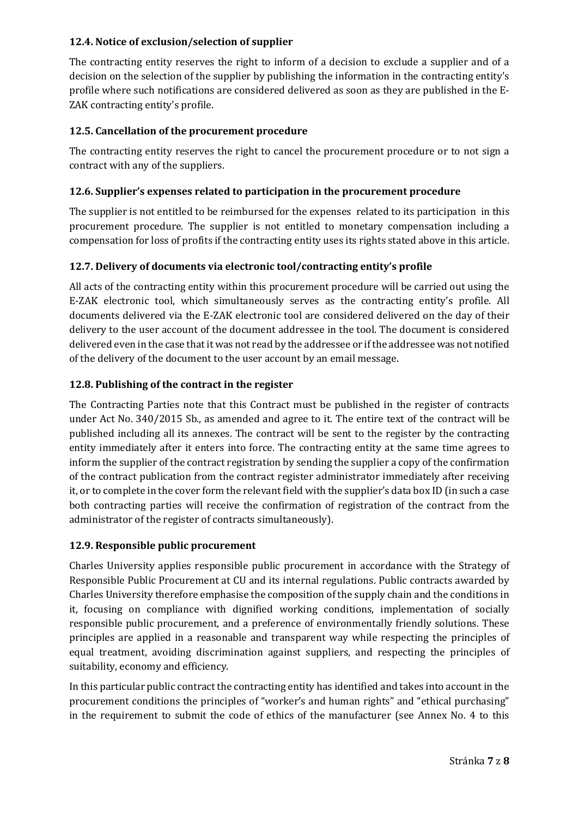# 12.4. Notice of exclusion/selection of supplier

The contracting entity reserves the right to inform of a decision to exclude a supplier and of a decision on the selection of the supplier by publishing the information in the contracting entity's profile where such notifications are considered delivered as soon as they are published in the E-ZAK contracting entity's profile.

# 12.5. Cancellation of the procurement procedure

The contracting entity reserves the right to cancel the procurement procedure or to not sign a contract with any of the suppliers.

# **12.6.** Supplier's expenses related to participation in the procurement procedure

The supplier is not entitled to be reimbursed for the expenses related to its participation in this procurement procedure. The supplier is not entitled to monetary compensation including a compensation for loss of profits if the contracting entity uses its rights stated above in this article.

# **12.7.** Delivery of documents via electronic tool/contracting entity's profile

All acts of the contracting entity within this procurement procedure will be carried out using the E-ZAK electronic tool, which simultaneously serves as the contracting entity's profile. All documents delivered via the E-ZAK electronic tool are considered delivered on the day of their delivery to the user account of the document addressee in the tool. The document is considered delivered even in the case that it was not read by the addressee or if the addressee was not notified of the delivery of the document to the user account by an email message.

# **12.8.** Publishing of the contract in the register

The Contracting Parties note that this Contract must be published in the register of contracts under Act No. 340/2015 Sb., as amended and agree to it. The entire text of the contract will be published including all its annexes. The contract will be sent to the register by the contracting entity immediately after it enters into force. The contracting entity at the same time agrees to inform the supplier of the contract registration by sending the supplier a copy of the confirmation of the contract publication from the contract register administrator immediately after receiving it, or to complete in the cover form the relevant field with the supplier's data box ID (in such a case both contracting parties will receive the confirmation of registration of the contract from the administrator of the register of contracts simultaneously).

# **12.9.** Responsible public procurement

Charles University applies responsible public procurement in accordance with the Strategy of Responsible Public Procurement at CU and its internal regulations. Public contracts awarded by Charles University therefore emphasise the composition of the supply chain and the conditions in it, focusing on compliance with dignified working conditions, implementation of socially responsible public procurement, and a preference of environmentally friendly solutions. These principles are applied in a reasonable and transparent way while respecting the principles of equal treatment, avoiding discrimination against suppliers, and respecting the principles of suitability, economy and efficiency.

In this particular public contract the contracting entity has identified and takes into account in the procurement conditions the principles of "worker's and human rights" and "ethical purchasing" in the requirement to submit the code of ethics of the manufacturer (see Annex No. 4 to this